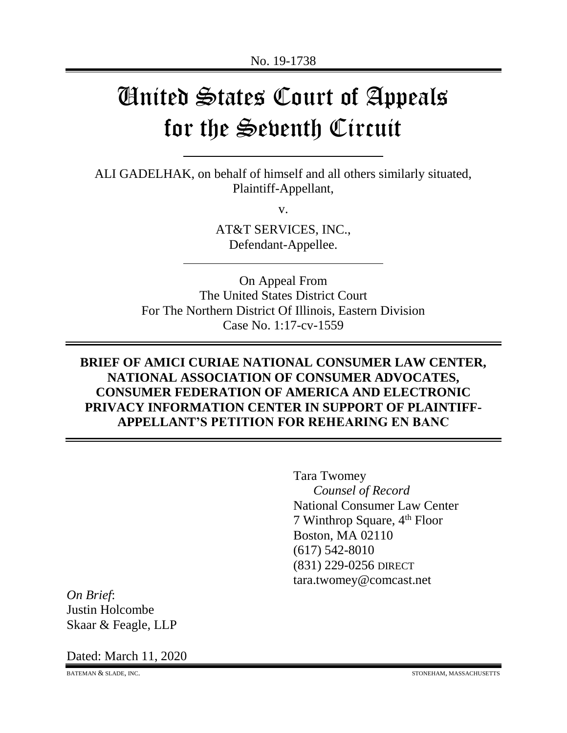# United States Court of Appeals for the Seventh Circuit

ALI GADELHAK, on behalf of himself and all others similarly situated, Plaintiff-Appellant,

v.

AT&T SERVICES, INC., Defendant-Appellee.

On Appeal From The United States District Court For The Northern District Of Illinois, Eastern Division Case No. 1:17-cv-1559

# **BRIEF OF AMICI CURIAE NATIONAL CONSUMER LAW CENTER, NATIONAL ASSOCIATION OF CONSUMER ADVOCATES, CONSUMER FEDERATION OF AMERICA AND ELECTRONIC PRIVACY INFORMATION CENTER IN SUPPORT OF PLAINTIFF-APPELLANT'S PETITION FOR REHEARING EN BANC**

Tara Twomey *Counsel of Record* National Consumer Law Center 7 Winthrop Square,  $4<sup>th</sup>$  Floor Boston, MA 02110 (617) 542-8010 (831) 229-0256 DIRECT tara.twomey@comcast.net

*On Brief*: Justin Holcombe Skaar & Feagle, LLP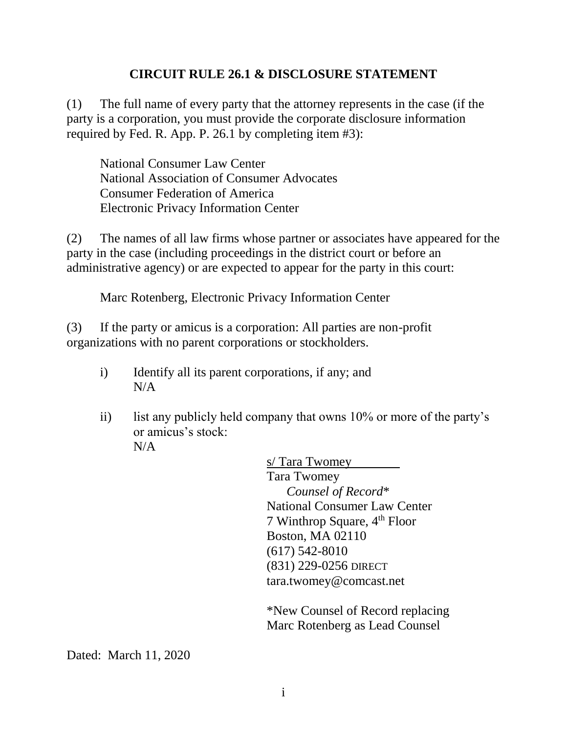# **CIRCUIT RULE 26.1 & DISCLOSURE STATEMENT**

(1) The full name of every party that the attorney represents in the case (if the party is a corporation, you must provide the corporate disclosure information required by Fed. R. App. P. 26.1 by completing item #3):

National Consumer Law Center National Association of Consumer Advocates Consumer Federation of America Electronic Privacy Information Center

(2) The names of all law firms whose partner or associates have appeared for the party in the case (including proceedings in the district court or before an administrative agency) or are expected to appear for the party in this court:

Marc Rotenberg, Electronic Privacy Information Center

(3) If the party or amicus is a corporation: All parties are non-profit organizations with no parent corporations or stockholders.

- i) Identify all its parent corporations, if any; and N/A
- ii) list any publicly held company that owns  $10\%$  or more of the party's or amicus's stock:  $N/A$

s/ Tara Twomey Tara Twomey *Counsel of Record*\* National Consumer Law Center 7 Winthrop Square, 4th Floor Boston, MA 02110 (617) 542-8010 (831) 229-0256 DIRECT tara.twomey@comcast.net

\*New Counsel of Record replacing Marc Rotenberg as Lead Counsel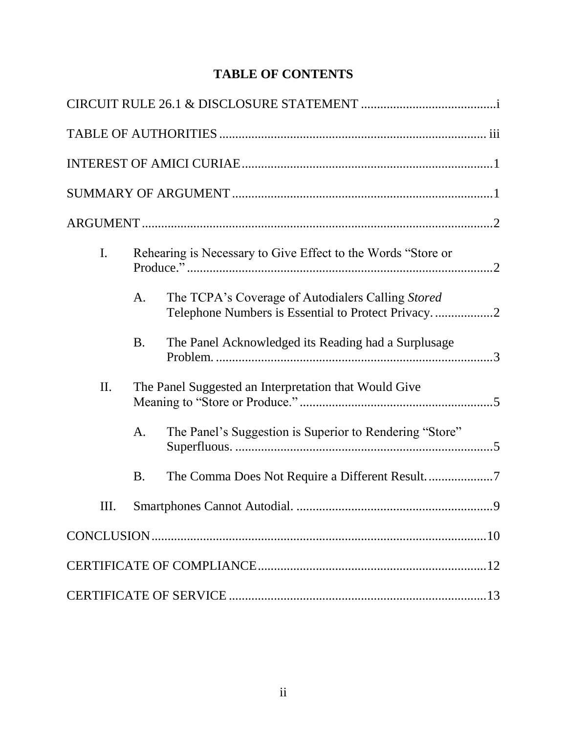# **TABLE OF CONTENTS**

| I.  |           | Rehearing is Necessary to Give Effect to the Words "Store or |
|-----|-----------|--------------------------------------------------------------|
|     | A.        | The TCPA's Coverage of Autodialers Calling Stored            |
|     | <b>B.</b> | The Panel Acknowledged its Reading had a Surplusage          |
| II. |           | The Panel Suggested an Interpretation that Would Give        |
|     | A.        | The Panel's Suggestion is Superior to Rendering "Store"      |
|     | <b>B.</b> |                                                              |
| Ш.  |           |                                                              |
|     |           |                                                              |
|     |           |                                                              |
|     |           |                                                              |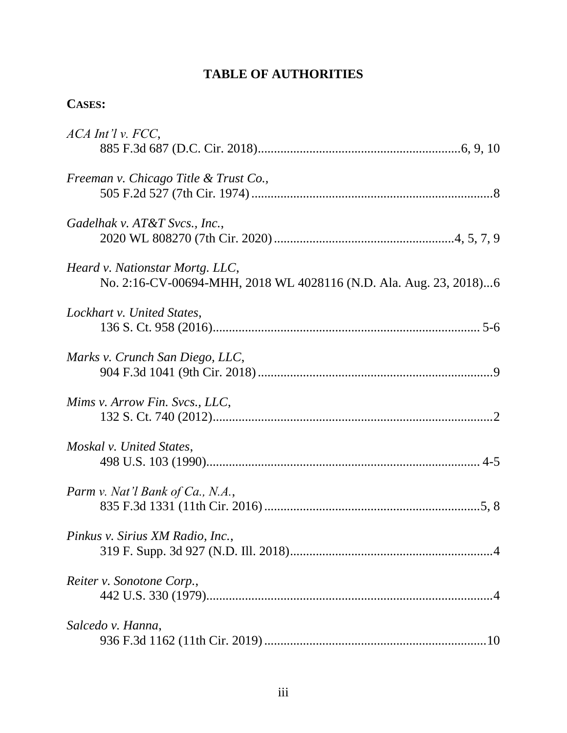# **TABLE OF AUTHORITIES**

# **CASES:**

| ACA Int'l v. FCC,                                                 |
|-------------------------------------------------------------------|
|                                                                   |
| Freeman v. Chicago Title & Trust Co.,                             |
|                                                                   |
| Gadelhak v. AT&T Svcs., Inc.,                                     |
|                                                                   |
| Heard v. Nationstar Mortg. LLC,                                   |
| No. 2:16-CV-00694-MHH, 2018 WL 4028116 (N.D. Ala. Aug. 23, 2018)6 |
| Lockhart v. United States,                                        |
|                                                                   |
| Marks v. Crunch San Diego, LLC,                                   |
|                                                                   |
| Mims v. Arrow Fin. Svcs., LLC,                                    |
|                                                                   |
| Moskal v. United States,                                          |
|                                                                   |
| Parm v. Nat'l Bank of Ca., N.A.,                                  |
|                                                                   |
| Pinkus v. Sirius XM Radio, Inc.,                                  |
|                                                                   |
| Reiter v. Sonotone Corp.,                                         |
|                                                                   |
| Salcedo v. Hanna,                                                 |
|                                                                   |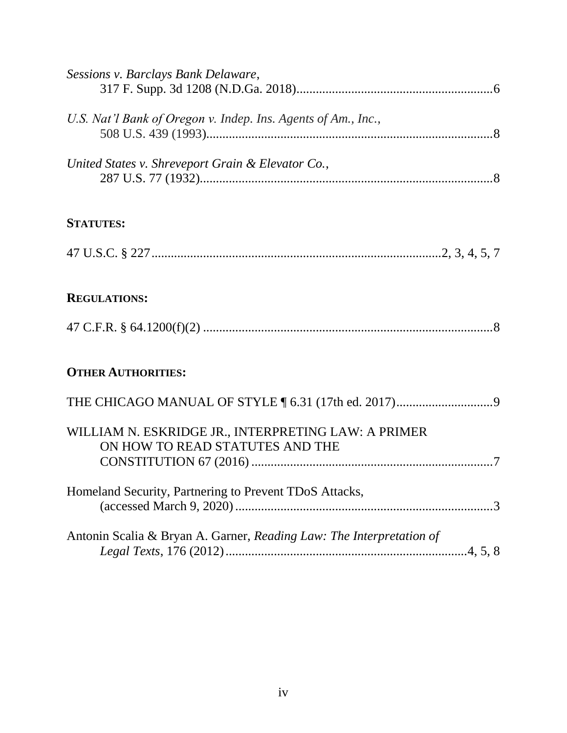| Sessions v. Barclays Bank Delaware,                                                    |
|----------------------------------------------------------------------------------------|
| U.S. Nat'l Bank of Oregon v. Indep. Ins. Agents of Am., Inc.,                          |
| United States v. Shreveport Grain & Elevator Co.,                                      |
| <b>STATUTES:</b>                                                                       |
|                                                                                        |
| <b>REGULATIONS:</b>                                                                    |
|                                                                                        |
| <b>OTHER AUTHORITIES:</b>                                                              |
|                                                                                        |
| WILLIAM N. ESKRIDGE JR., INTERPRETING LAW: A PRIMER<br>ON HOW TO READ STATUTES AND THE |
| Homeland Security, Partnering to Prevent TDoS Attacks,                                 |
| Antonin Scalia & Bryan A. Garner, Reading Law: The Interpretation of                   |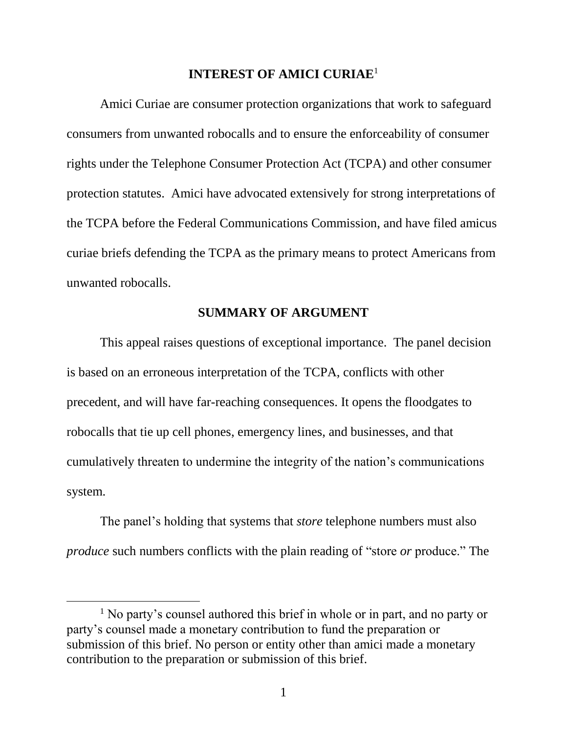### **INTEREST OF AMICI CURIAE**<sup>1</sup>

Amici Curiae are consumer protection organizations that work to safeguard consumers from unwanted robocalls and to ensure the enforceability of consumer rights under the Telephone Consumer Protection Act (TCPA) and other consumer protection statutes. Amici have advocated extensively for strong interpretations of the TCPA before the Federal Communications Commission, and have filed amicus curiae briefs defending the TCPA as the primary means to protect Americans from unwanted robocalls.

## **SUMMARY OF ARGUMENT**

This appeal raises questions of exceptional importance. The panel decision is based on an erroneous interpretation of the TCPA, conflicts with other precedent, and will have far-reaching consequences. It opens the floodgates to robocalls that tie up cell phones, emergency lines, and businesses, and that cumulatively threaten to undermine the integrity of the nation's communications system.

The panel's holding that systems that *store* telephone numbers must also *produce* such numbers conflicts with the plain reading of "store *or* produce." The

 $\overline{a}$ 

<sup>&</sup>lt;sup>1</sup> No party's counsel authored this brief in whole or in part, and no party or party's counsel made a monetary contribution to fund the preparation or submission of this brief. No person or entity other than amici made a monetary contribution to the preparation or submission of this brief.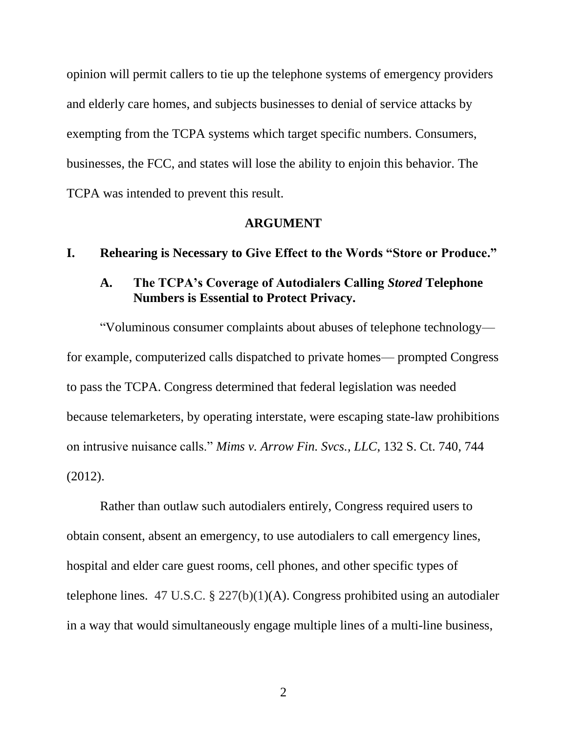opinion will permit callers to tie up the telephone systems of emergency providers and elderly care homes, and subjects businesses to denial of service attacks by exempting from the TCPA systems which target specific numbers. Consumers, businesses, the FCC, and states will lose the ability to enjoin this behavior. The TCPA was intended to prevent this result.

#### **ARGUMENT**

#### **I. Rehearing is Necessary to Give Effect to the Words "Store or Produce."**

## **A. The TCPA's Coverage of Autodialers Calling** *Stored* **Telephone Numbers is Essential to Protect Privacy.**

"Voluminous consumer complaints about abuses of telephone technology for example, computerized calls dispatched to private homes— prompted Congress to pass the TCPA. Congress determined that federal legislation was needed because telemarketers, by operating interstate, were escaping state-law prohibitions on intrusive nuisance calls." *Mims v. Arrow Fin. Svcs., LLC*, 132 S. Ct. 740, 744 (2012).

Rather than outlaw such autodialers entirely, Congress required users to obtain consent, absent an emergency, to use autodialers to call emergency lines, hospital and elder care guest rooms, cell phones, and other specific types of telephone lines. 47 U.S.C. § 227(b)(1)(A). Congress prohibited using an autodialer in a way that would simultaneously engage multiple lines of a multi-line business,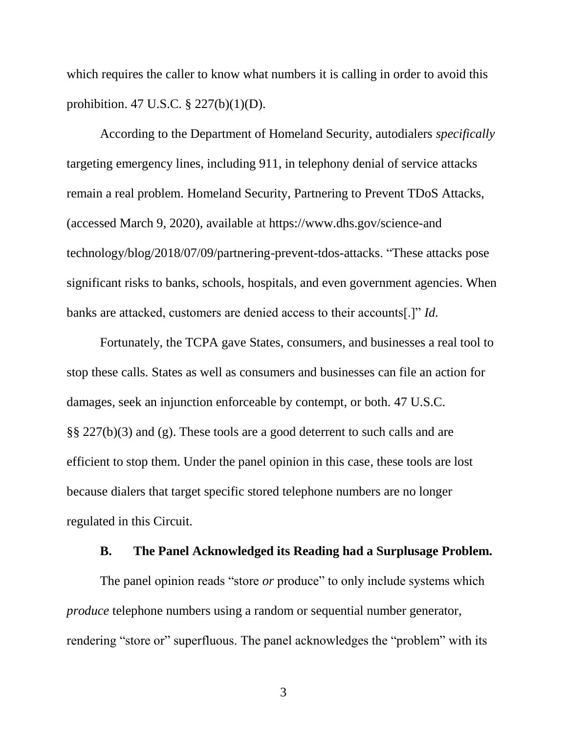which requires the caller to know what numbers it is calling in order to avoid this prohibition. 47 U.S.C. § 227(b)(1)(D).

According to the Department of Homeland Security, autodialers *specifically* targeting emergency lines, including 911, in telephony denial of service attacks remain a real problem. Homeland Security, Partnering to Prevent TDoS Attacks, (accessed March 9, 2020), available at [https://www.dhs.gov/science-and](https://www.dhs.gov/science-andtechnology/blog/2018/07/09/partnering-prevent-tdos-attacks) [technology/blog/2018/07/09/partnering-prevent-tdos-attacks.](https://www.dhs.gov/science-andtechnology/blog/2018/07/09/partnering-prevent-tdos-attacks) "These attacks pose significant risks to banks, schools, hospitals, and even government agencies. When banks are attacked, customers are denied access to their accounts[.]" *Id.*

Fortunately, the TCPA gave States, consumers, and businesses a real tool to stop these calls. States as well as consumers and businesses can file an action for damages, seek an injunction enforceable by contempt, or both. 47 U.S.C. §§ 227(b)(3) and (g). These tools are a good deterrent to such calls and are efficient to stop them. Under the panel opinion in this case, these tools are lost because dialers that target specific stored telephone numbers are no longer regulated in this Circuit.

### **B. The Panel Acknowledged its Reading had a Surplusage Problem.**

The panel opinion reads "store *or* produce" to only include systems which *produce* telephone numbers using a random or sequential number generator, rendering "store or" superfluous. The panel acknowledges the "problem" with its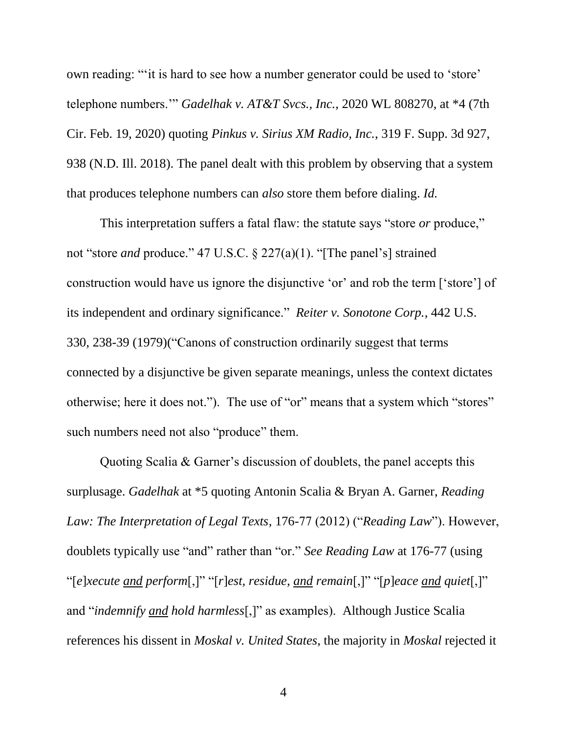own reading: "'it is hard to see how a number generator could be used to 'store' telephone numbers.'" *Gadelhak v. AT&T Svcs., Inc.*, 2020 WL 808270, at \*4 (7th Cir. Feb. 19, 2020) quoting *Pinkus v. Sirius XM Radio, Inc.*, 319 F. Supp. 3d 927, 938 (N.D. Ill. 2018). The panel dealt with this problem by observing that a system that produces telephone numbers can *also* store them before dialing. *Id.*

This interpretation suffers a fatal flaw: the statute says "store *or* produce," not "store *and* produce." 47 U.S.C. § 227(a)(1). "[The panel's] strained construction would have us ignore the disjunctive 'or' and rob the term ['store'] of its independent and ordinary significance." *Reiter v. Sonotone Corp.*, 442 U.S. 330, 238-39 (1979)("Canons of construction ordinarily suggest that terms connected by a disjunctive be given separate meanings, unless the context dictates otherwise; here it does not."). The use of "or" means that a system which "stores" such numbers need not also "produce" them.

Quoting Scalia & Garner's discussion of doublets, the panel accepts this surplusage. *Gadelhak* at \*5 quoting Antonin Scalia & Bryan A. Garner, *Reading Law: The Interpretation of Legal Texts*, 176-77 (2012) ("*Reading Law*"). However, doublets typically use "and" rather than "or." *See Reading Law* at 176-77 (using "[*e*]*xecute and perform*[,]" "[*r*]*est, residue, and remain*[,]" "[*p*]*eace and quiet*[,]" and "*indemnify and hold harmless*[,]" as examples). Although Justice Scalia references his dissent in *Moskal v. United States*, the majority in *Moskal* rejected it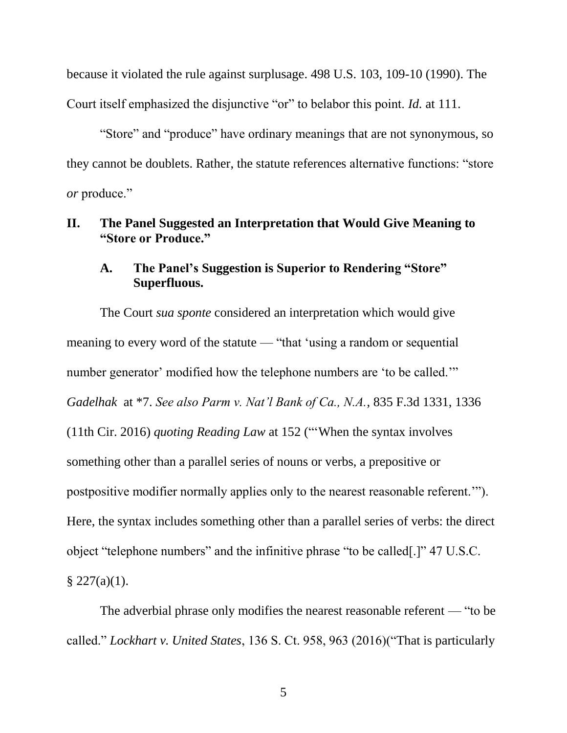because it violated the rule against surplusage. 498 U.S. 103, 109-10 (1990). The Court itself emphasized the disjunctive "or" to belabor this point. *Id.* at 111.

"Store" and "produce" have ordinary meanings that are not synonymous, so they cannot be doublets. Rather, the statute references alternative functions: "store *or* produce."

## **II. The Panel Suggested an Interpretation that Would Give Meaning to "Store or Produce."**

## **A. The Panel's Suggestion is Superior to Rendering "Store" Superfluous.**

The Court *sua sponte* considered an interpretation which would give meaning to every word of the statute — "that 'using a random or sequential number generator' modified how the telephone numbers are 'to be called.'" *Gadelhak* at \*7. *See also Parm v. Nat'l Bank of Ca., N.A.*, 835 F.3d 1331, 1336 (11th Cir. 2016) *quoting Reading Law* at 152 ("'When the syntax involves something other than a parallel series of nouns or verbs, a prepositive or postpositive modifier normally applies only to the nearest reasonable referent.'"). Here, the syntax includes something other than a parallel series of verbs: the direct object "telephone numbers" and the infinitive phrase "to be called[.]" 47 U.S.C.  $§$  227(a)(1).

The adverbial phrase only modifies the nearest reasonable referent — "to be called." *Lockhart v. United States*, 136 S. Ct. 958, 963 (2016)("That is particularly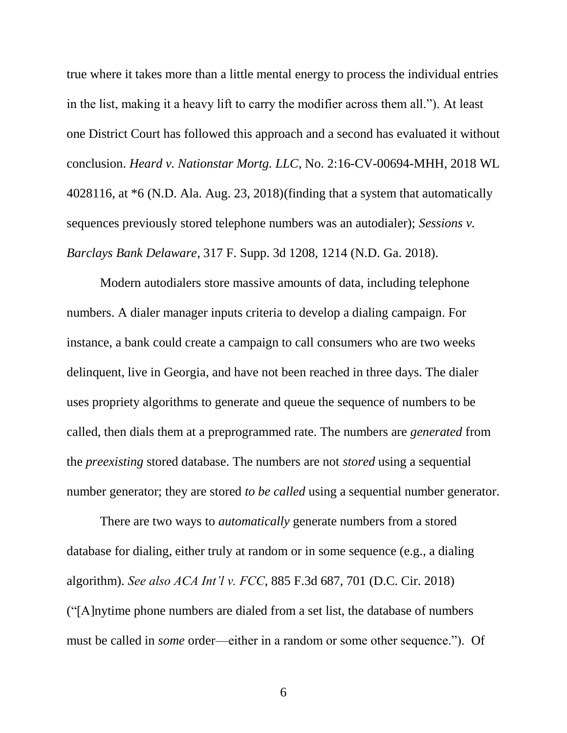true where it takes more than a little mental energy to process the individual entries in the list, making it a heavy lift to carry the modifier across them all."). At least one District Court has followed this approach and a second has evaluated it without conclusion. *Heard v. Nationstar Mortg. LLC*, No. 2:16-CV-00694-MHH, 2018 WL 4028116, at \*6 (N.D. Ala. Aug. 23, 2018)(finding that a system that automatically sequences previously stored telephone numbers was an autodialer); *Sessions v. Barclays Bank Delaware*, 317 F. Supp. 3d 1208, 1214 (N.D. Ga. 2018).

Modern autodialers store massive amounts of data, including telephone numbers. A dialer manager inputs criteria to develop a dialing campaign. For instance, a bank could create a campaign to call consumers who are two weeks delinquent, live in Georgia, and have not been reached in three days. The dialer uses propriety algorithms to generate and queue the sequence of numbers to be called, then dials them at a preprogrammed rate. The numbers are *generated* from the *preexisting* stored database. The numbers are not *stored* using a sequential number generator; they are stored *to be called* using a sequential number generator.

There are two ways to *automatically* generate numbers from a stored database for dialing, either truly at random or in some sequence (e.g., a dialing algorithm). *See also ACA Int'l v. FCC*, 885 F.3d 687, 701 (D.C. Cir. 2018) ("[A]nytime phone numbers are dialed from a set list, the database of numbers must be called in *some* order—either in a random or some other sequence."). Of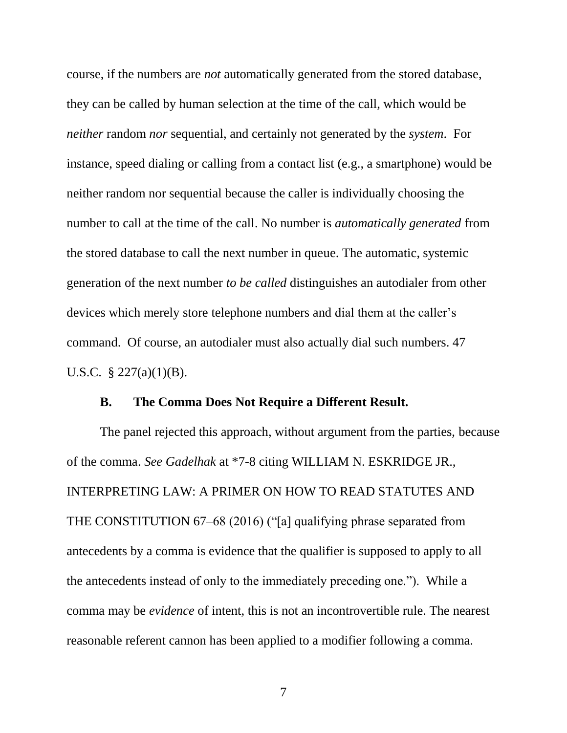course, if the numbers are *not* automatically generated from the stored database, they can be called by human selection at the time of the call, which would be *neither* random *nor* sequential, and certainly not generated by the *system*. For instance, speed dialing or calling from a contact list (e.g., a smartphone) would be neither random nor sequential because the caller is individually choosing the number to call at the time of the call. No number is *automatically generated* from the stored database to call the next number in queue. The automatic, systemic generation of the next number *to be called* distinguishes an autodialer from other devices which merely store telephone numbers and dial them at the caller's command. Of course, an autodialer must also actually dial such numbers. 47 U.S.C. § 227(a)(1)(B).

#### **B. The Comma Does Not Require a Different Result.**

The panel rejected this approach, without argument from the parties, because of the comma. *See Gadelhak* at \*7-8 citing WILLIAM N. ESKRIDGE JR., INTERPRETING LAW: A PRIMER ON HOW TO READ STATUTES AND THE CONSTITUTION 67–68 (2016) ("[a] qualifying phrase separated from antecedents by a comma is evidence that the qualifier is supposed to apply to all the antecedents instead of only to the immediately preceding one."). While a comma may be *evidence* of intent, this is not an incontrovertible rule. The nearest reasonable referent cannon has been applied to a modifier following a comma.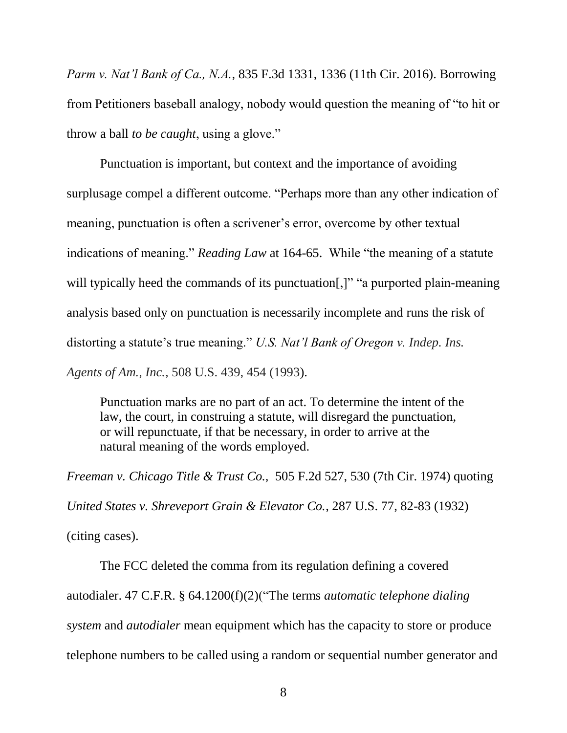*Parm v. Nat'l Bank of Ca., N.A.*, 835 F.3d 1331, 1336 (11th Cir. 2016). Borrowing from Petitioners baseball analogy, nobody would question the meaning of "to hit or throw a ball *to be caught*, using a glove."

Punctuation is important, but context and the importance of avoiding surplusage compel a different outcome. "Perhaps more than any other indication of meaning, punctuation is often a scrivener's error, overcome by other textual indications of meaning." *Reading Law* at 164-65. While "the meaning of a statute will typically heed the commands of its punctuation[,]" "a purported plain-meaning analysis based only on punctuation is necessarily incomplete and runs the risk of distorting a statute's true meaning." *U.S. Nat'l Bank of Oregon v. Indep. Ins. Agents of Am., Inc.*, 508 U.S. 439, 454 (1993).

Punctuation marks are no part of an act. To determine the intent of the law, the court, in construing a statute, will disregard the punctuation, or will repunctuate, if that be necessary, in order to arrive at the natural meaning of the words employed.

*Freeman v. Chicago Title & Trust Co.,* 505 F.2d 527, 530 (7th Cir. 1974) quoting *United States v. Shreveport Grain & Elevator Co.*, 287 U.S. 77, 82-83 (1932)

(citing cases).

The FCC deleted the comma from its regulation defining a covered autodialer. 47 C.F.R. § 64.1200(f)(2)("The terms *automatic telephone dialing system* and *autodialer* mean equipment which has the capacity to store or produce telephone numbers to be called using a random or sequential number generator and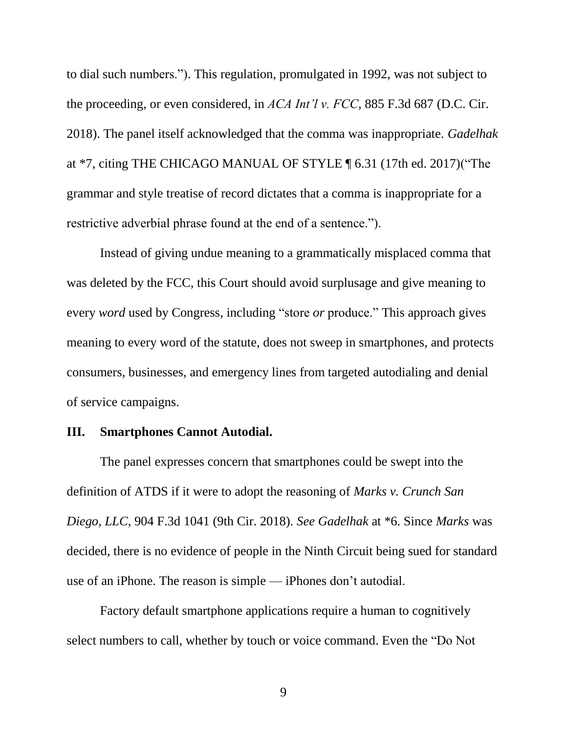to dial such numbers."). This regulation, promulgated in 1992, was not subject to the proceeding, or even considered, in *ACA Int'l v. FCC*, 885 F.3d 687 (D.C. Cir. 2018). The panel itself acknowledged that the comma was inappropriate. *Gadelhak* at \*7, citing THE CHICAGO MANUAL OF STYLE ¶ 6.31 (17th ed. 2017)("The grammar and style treatise of record dictates that a comma is inappropriate for a restrictive adverbial phrase found at the end of a sentence.").

Instead of giving undue meaning to a grammatically misplaced comma that was deleted by the FCC, this Court should avoid surplusage and give meaning to every *word* used by Congress, including "store *or* produce." This approach gives meaning to every word of the statute, does not sweep in smartphones, and protects consumers, businesses, and emergency lines from targeted autodialing and denial of service campaigns.

## **III. Smartphones Cannot Autodial.**

The panel expresses concern that smartphones could be swept into the definition of ATDS if it were to adopt the reasoning of *Marks v. Crunch San Diego, LLC*, 904 F.3d 1041 (9th Cir. 2018). *See Gadelhak* at \*6. Since *Marks* was decided, there is no evidence of people in the Ninth Circuit being sued for standard use of an iPhone. The reason is simple — iPhones don't autodial.

Factory default smartphone applications require a human to cognitively select numbers to call, whether by touch or voice command. Even the "Do Not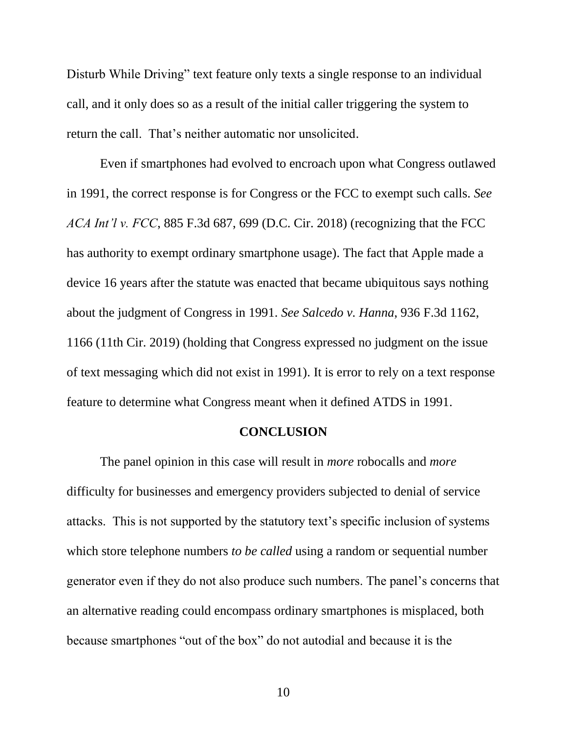Disturb While Driving" text feature only texts a single response to an individual call, and it only does so as a result of the initial caller triggering the system to return the call. That's neither automatic nor unsolicited.

Even if smartphones had evolved to encroach upon what Congress outlawed in 1991, the correct response is for Congress or the FCC to exempt such calls. *See ACA Int'l v. FCC*, 885 F.3d 687, 699 (D.C. Cir. 2018) (recognizing that the FCC has authority to exempt ordinary smartphone usage). The fact that Apple made a device 16 years after the statute was enacted that became ubiquitous says nothing about the judgment of Congress in 1991. *See Salcedo v. Hanna*, 936 F.3d 1162, 1166 (11th Cir. 2019) (holding that Congress expressed no judgment on the issue of text messaging which did not exist in 1991). It is error to rely on a text response feature to determine what Congress meant when it defined ATDS in 1991.

#### **CONCLUSION**

The panel opinion in this case will result in *more* robocalls and *more* difficulty for businesses and emergency providers subjected to denial of service attacks. This is not supported by the statutory text's specific inclusion of systems which store telephone numbers *to be called* using a random or sequential number generator even if they do not also produce such numbers. The panel's concerns that an alternative reading could encompass ordinary smartphones is misplaced, both because smartphones "out of the box" do not autodial and because it is the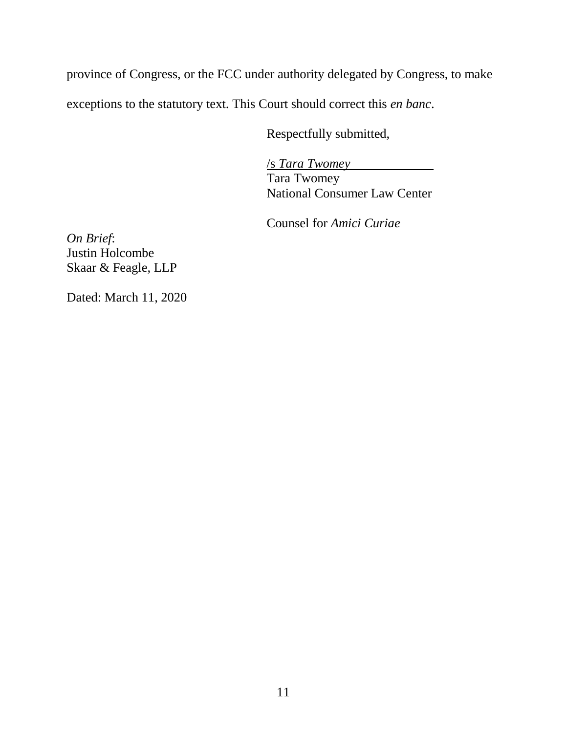province of Congress, or the FCC under authority delegated by Congress, to make exceptions to the statutory text. This Court should correct this *en banc*.

Respectfully submitted,

/s *Tara Twomey* Tara Twomey National Consumer Law Center

Counsel for *Amici Curiae*

*On Brief*: Justin Holcombe Skaar & Feagle, LLP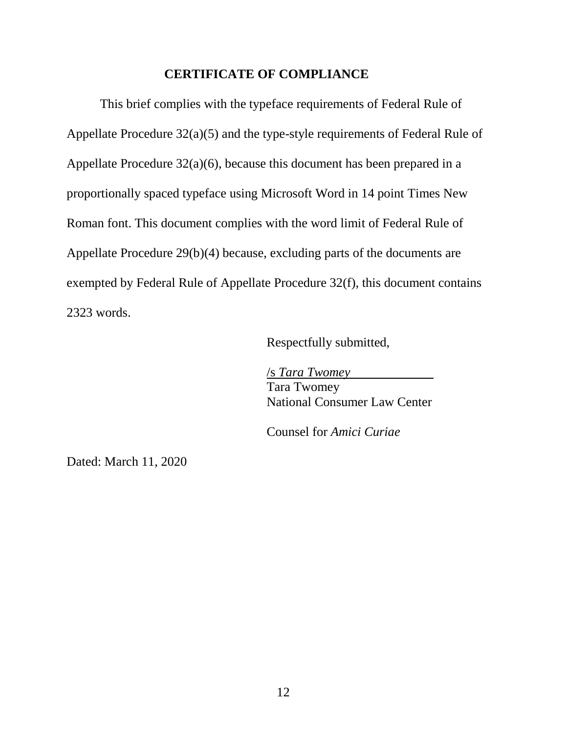#### **CERTIFICATE OF COMPLIANCE**

This brief complies with the typeface requirements of Federal Rule of Appellate Procedure 32(a)(5) and the type-style requirements of Federal Rule of Appellate Procedure 32(a)(6), because this document has been prepared in a proportionally spaced typeface using Microsoft Word in 14 point Times New Roman font. This document complies with the word limit of Federal Rule of Appellate Procedure 29(b)(4) because, excluding parts of the documents are exempted by Federal Rule of Appellate Procedure 32(f), this document contains 2323 words.

Respectfully submitted,

/s *Tara Twomey* Tara Twomey National Consumer Law Center

Counsel for *Amici Curiae*